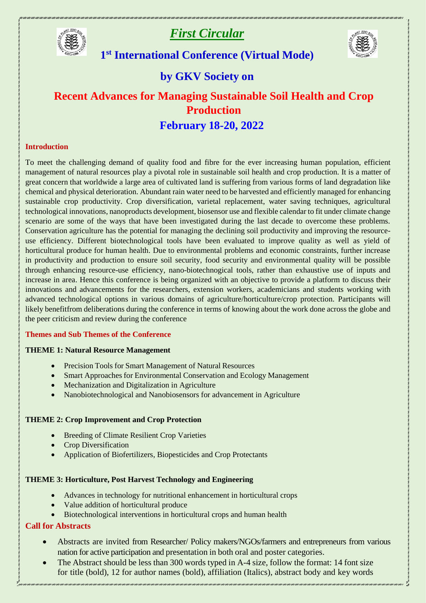

# *First Circular*



# **1 st International Conference (Virtual Mode)**

# **by GKV Society on**

# **Recent Advances for Managing Sustainable Soil Health and Crop Production February 18-20, 2022**

#### **Introduction**

To meet the challenging demand of quality food and fibre for the ever increasing human population, efficient management of natural resources play a pivotal role in sustainable soil health and crop production. It is a matter of great concern that worldwide a large area of cultivated land is suffering from various forms of land degradation like chemical and physical deterioration. Abundant rain water need to be harvested and efficiently managed for enhancing sustainable crop productivity. Crop diversification, varietal replacement, water saving techniques, agricultural technological innovations, nanoproducts development, biosensor use and flexible calendar to fit under climate change scenario are some of the ways that have been investigated during the last decade to overcome these problems. Conservation agriculture has the potential for managing the declining soil productivity and improving the resourceuse efficiency. Different biotechnological tools have been evaluated to improve quality as well as yield of horticultural produce for human health. Due to environmental problems and economic constraints, further increase in productivity and production to ensure soil security, food security and environmental quality will be possible through enhancing resource-use efficiency, nano-biotechnogical tools, rather than exhaustive use of inputs and increase in area. Hence this conference is being organized with an objective to provide a platform to discuss their innovations and advancements for the researchers, extension workers, academicians and students working with advanced technological options in various domains of agriculture/horticulture/crop protection. Participants will likely benefitfrom deliberations during the conference in terms of knowing about the work done across the globe and the peer criticism and review during the conference

## **Themes and Sub Themes of the Conference**

### **THEME 1: Natural Resource Management**

- Precision Tools for Smart Management of Natural Resources
- Smart Approaches for Environmental Conservation and Ecology Management
- Mechanization and Digitalization in Agriculture
- Nanobiotechnological and Nanobiosensors for advancement in Agriculture

### **THEME 2: Crop Improvement and Crop Protection**

- Breeding of Climate Resilient Crop Varieties
- Crop Diversification
- Application of Biofertilizers, Biopesticides and Crop Protectants

### **THEME 3: Horticulture, Post Harvest Technology and Engineering**

- Advances in technology for nutritional enhancement in horticultural crops
- Value addition of horticultural produce
- Biotechnological interventions in horticultural crops and human health

## **Call for Abstracts**

- Abstracts are invited from Researcher/ Policy makers/NGOs/farmers and entrepreneurs from various nation for active participation and presentation in both oral and poster categories.
- The Abstract should be less than 300 words typed in A-4 size, follow the format: 14 font size for title (bold), 12 for author names (bold), affiliation (Italics), abstract body and key words